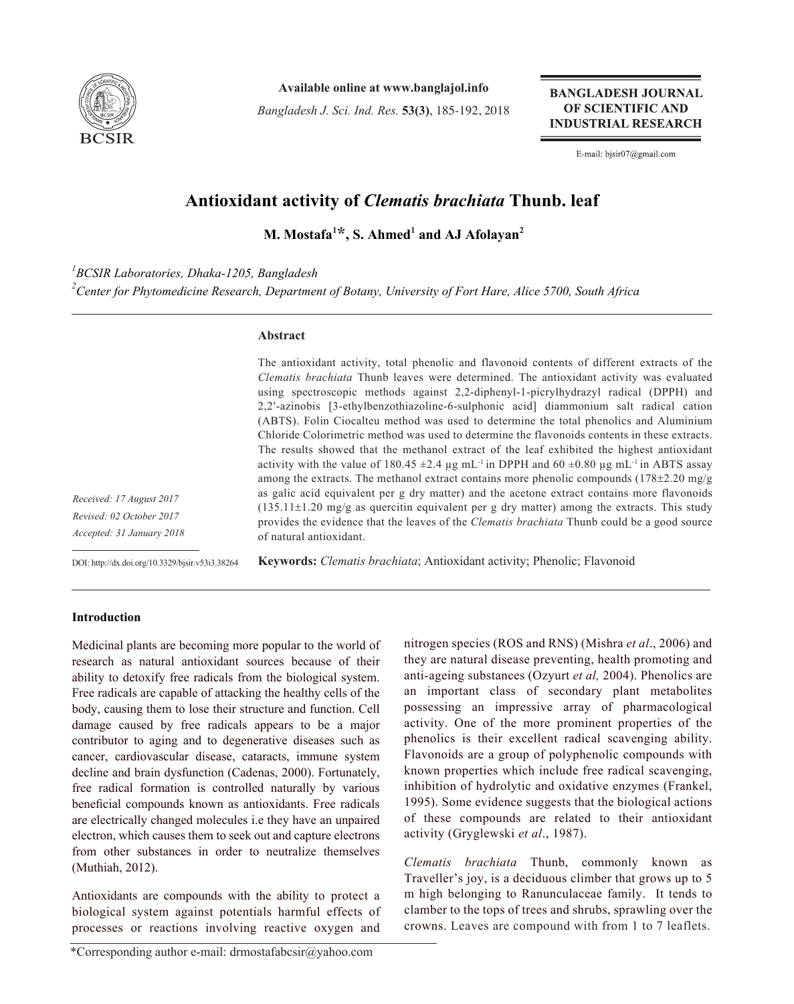

**Available online at www.banglajol.info**

*Bangladesh J. Sci. Ind. Res.* **53(3)**, 185-192, 2018

**BANGLADESH JOURNAL** OF SCIENTIFIC AND **INDUSTRIAL RESEARCH** 

E-mail: bjsir07@gmail.com

# **Antioxidant activity of** *Clematis brachiata* **Thunb. leaf**

M. Mostafa<sup>1\*</sup>, S. Ahmed<sup>1</sup> and AJ Afolayan<sup>2</sup>

*1 BCSIR Laboratories, Dhaka-1205, Bangladesh 2 Center for Phytomedicine Research, Department of Botany, University of Fort Hare, Alice 5700, South Africa*

## **Abstract**

The antioxidant activity, total phenolic and flavonoid contents of different extracts of the *Clematis brachiata* Thunb leaves were determined. The antioxidant activity was evaluated using spectroscopic methods against 2,2-diphenyl-1-picrylhydrazyl radical (DPPH) and 2,2′-azinobis [3-ethylbenzothiazoline-6-sulphonic acid] diammonium salt radical cation (ABTS). Folin Ciocalteu method was used to determine the total phenolics and Aluminium Chloride Colorimetric method was used to determine the flavonoids contents in these extracts. The results showed that the methanol extract of the leaf exhibited the highest antioxidant activity with the value of 180.45  $\pm$ 2.4 µg mL<sup>-1</sup> in DPPH and 60  $\pm$ 0.80 µg mL<sup>-1</sup> in ABTS assay among the extracts. The methanol extract contains more phenolic compounds  $(178\pm2.20 \text{ mg/g})$ as galic acid equivalent per g dry matter) and the acetone extract contains more flavonoids  $(135.11\pm1.20 \text{ mg/g}$  as quercitin equivalent per g dry matter) among the extracts. This study provides the evidence that the leaves of the *Clematis brachiata* Thunb could be a good source of natural antioxidant.

*Received: 17 August 2017 Revised: 02 October 2017 Accepted: 31 January 2018*

DOI: http://dx.doi.org/10.3329/bjsir.v53i3.38264

**Keywords:** *Clematis brachiata*; Antioxidant activity; Phenolic; Flavonoid

## **Introduction**

Medicinal plants are becoming more popular to the world of research as natural antioxidant sources because of their ability to detoxify free radicals from the biological system. Free radicals are capable of attacking the healthy cells of the body, causing them to lose their structure and function. Cell damage caused by free radicals appears to be a major contributor to aging and to degenerative diseases such as cancer, cardiovascular disease, cataracts, immune system decline and brain dysfunction (Cadenas, 2000). Fortunately, free radical formation is controlled naturally by various beneficial compounds known as antioxidants. Free radicals are electrically changed molecules i.e they have an unpaired electron, which causes them to seek out and capture electrons from other substances in order to neutralize themselves (Muthiah, 2012).

Antioxidants are compounds with the ability to protect a biological system against potentials harmful effects of processes or reactions involving reactive oxygen and

nitrogen species (ROS and RNS) (Mishra *et al*., 2006) and they are natural disease preventing, health promoting and anti-ageing substances (Ozyurt *et al,* 2004). Phenolics are an important class of secondary plant metabolites possessing an impressive array of pharmacological activity. One of the more prominent properties of the phenolics is their excellent radical scavenging ability. Flavonoids are a group of polyphenolic compounds with known properties which include free radical scavenging, inhibition of hydrolytic and oxidative enzymes (Frankel, 1995). Some evidence suggests that the biological actions of these compounds are related to their antioxidant activity (Gryglewski *et al*., 1987).

*Clematis brachiata* Thunb, commonly known as Traveller's joy, is a deciduous climber that grows up to 5 m high belonging to Ranunculaceae family. It tends to clamber to the tops of trees and shrubs, sprawling over the crowns. Leaves are compound with from 1 to 7 leaflets.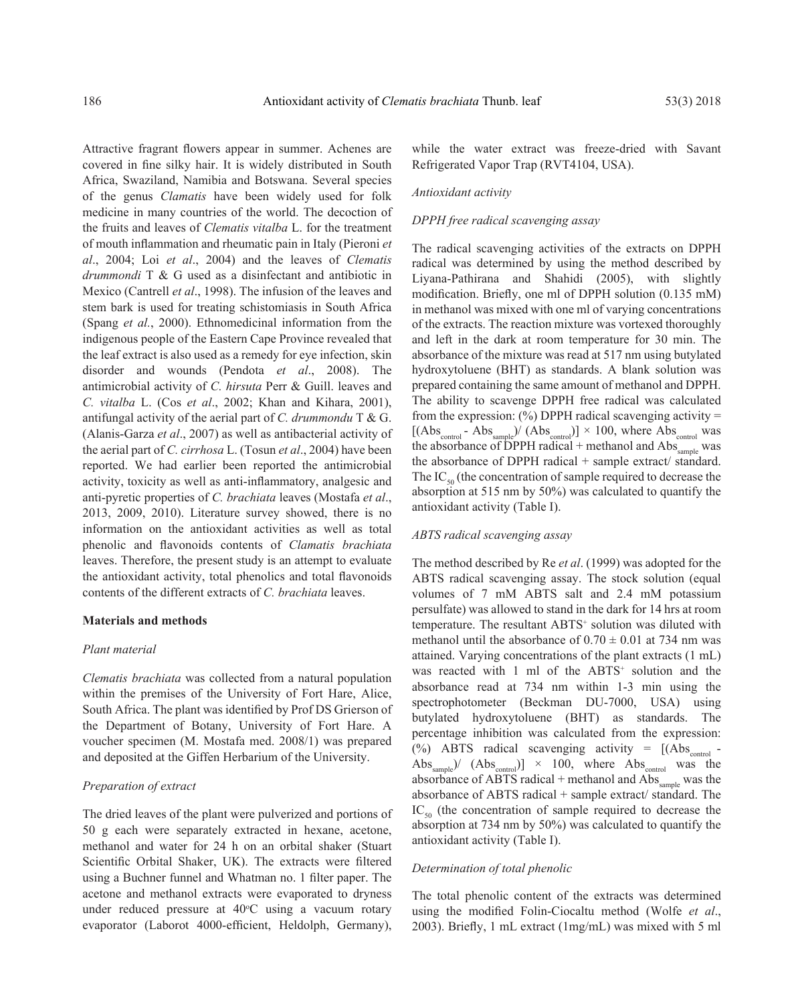Attractive fragrant flowers appear in summer. Achenes are covered in fine silky hair. It is widely distributed in South Africa, Swaziland, Namibia and Botswana. Several species of the genus *Clamatis* have been widely used for folk medicine in many countries of the world. The decoction of the fruits and leaves of *Clematis vitalba* L. for the treatment of mouth inflammation and rheumatic pain in Italy (Pieroni *et al*., 2004; Loi *et al*., 2004) and the leaves of *Clematis drummondi* T & G used as a disinfectant and antibiotic in Mexico (Cantrell *et al*., 1998). The infusion of the leaves and stem bark is used for treating schistomiasis in South Africa (Spang *et al.*, 2000). Ethnomedicinal information from the indigenous people of the Eastern Cape Province revealed that the leaf extract is also used as a remedy for eye infection, skin disorder and wounds (Pendota *et al*., 2008). The antimicrobial activity of *C. hirsuta* Perr & Guill. leaves and *C. vitalba* L. (Cos *et al*., 2002; Khan and Kihara, 2001), antifungal activity of the aerial part of *C. drummondu* T & G. (Alanis-Garza *et al*., 2007) as well as antibacterial activity of the aerial part of *C. cirrhosa* L. (Tosun *et al*., 2004) have been reported. We had earlier been reported the antimicrobial activity, toxicity as well as anti-inflammatory, analgesic and anti-pyretic properties of *C. brachiata* leaves (Mostafa *et al*., 2013, 2009, 2010). Literature survey showed, there is no information on the antioxidant activities as well as total phenolic and flavonoids contents of *Clamatis brachiata* leaves. Therefore, the present study is an attempt to evaluate the antioxidant activity, total phenolics and total flavonoids contents of the different extracts of *C. brachiata* leaves.

#### **Materials and methods**

## *Plant material*

*Clematis brachiata* was collected from a natural population within the premises of the University of Fort Hare, Alice, South Africa. The plant was identified by Prof DS Grierson of the Department of Botany, University of Fort Hare. A voucher specimen (M. Mostafa med. 2008/1) was prepared and deposited at the Giffen Herbarium of the University.

# *Preparation of extract*

The dried leaves of the plant were pulverized and portions of 50 g each were separately extracted in hexane, acetone, methanol and water for 24 h on an orbital shaker (Stuart Scientific Orbital Shaker, UK). The extracts were filtered using a Buchner funnel and Whatman no. 1 filter paper. The acetone and methanol extracts were evaporated to dryness under reduced pressure at  $40^{\circ}$ C using a vacuum rotary evaporator (Laborot 4000-efficient, Heldolph, Germany),

while the water extract was freeze-dried with Savant Refrigerated Vapor Trap (RVT4104, USA).

#### *Antioxidant activity*

#### *DPPH free radical scavenging assay*

The radical scavenging activities of the extracts on DPPH radical was determined by using the method described by Liyana-Pathirana and Shahidi (2005), with slightly modification. Briefly, one ml of DPPH solution (0.135 mM) in methanol was mixed with one ml of varying concentrations of the extracts. The reaction mixture was vortexed thoroughly and left in the dark at room temperature for 30 min. The absorbance of the mixture was read at 517 nm using butylated hydroxytoluene (BHT) as standards. A blank solution was prepared containing the same amount of methanol and DPPH. The ability to scavenge DPPH free radical was calculated from the expression:  $(\%)$  DPPH radical scavenging activity =  $[(Abs<sub>control</sub> - Abs<sub>sample</sub>)/(Abs<sub>control</sub>)] \times 100$ , where Abs<sub>control</sub> was the absorbance of DPPH radical + methanol and  $\overrightarrow{Abs}_{sample}$  was the absorbance of DPPH radical + sample extract/ standard. The  $IC_{50}$  (the concentration of sample required to decrease the absorption at 515 nm by 50%) was calculated to quantify the antioxidant activity (Table I).

## *ABTS radical scavenging assay*

The method described by Re *et al*. (1999) was adopted for the ABTS radical scavenging assay. The stock solution (equal volumes of 7 mM ABTS salt and 2.4 mM potassium persulfate) was allowed to stand in the dark for 14 hrs at room temperature. The resultant ABTS<sup>+</sup> solution was diluted with methanol until the absorbance of  $0.70 \pm 0.01$  at 734 nm was attained. Varying concentrations of the plant extracts (1 mL) was reacted with 1 ml of the ABTS<sup>+</sup> solution and the absorbance read at 734 nm within 1-3 min using the spectrophotometer (Beckman DU-7000, USA) using butylated hydroxytoluene (BHT) as standards. The percentage inhibition was calculated from the expression: (%) ABTS radical scavenging activity =  $[(Abs<sub>control</sub> -)$ Abs<sub>sample</sub>)/  $(Abs_{control})$  × 100, where Abs<sub>control</sub> was the absorbance of  $\overrightarrow{ABTS}$  radical + methanol and  $\overrightarrow{Abs}_{sample}$  was the absorbance of ABTS radical + sample extract/ standard. The  $IC_{50}$  (the concentration of sample required to decrease the absorption at 734 nm by 50%) was calculated to quantify the antioxidant activity (Table I).

## *Determination of total phenolic*

The total phenolic content of the extracts was determined using the modified Folin-Ciocaltu method (Wolfe *et al*., 2003). Briefly, 1 mL extract (1mg/mL) was mixed with 5 ml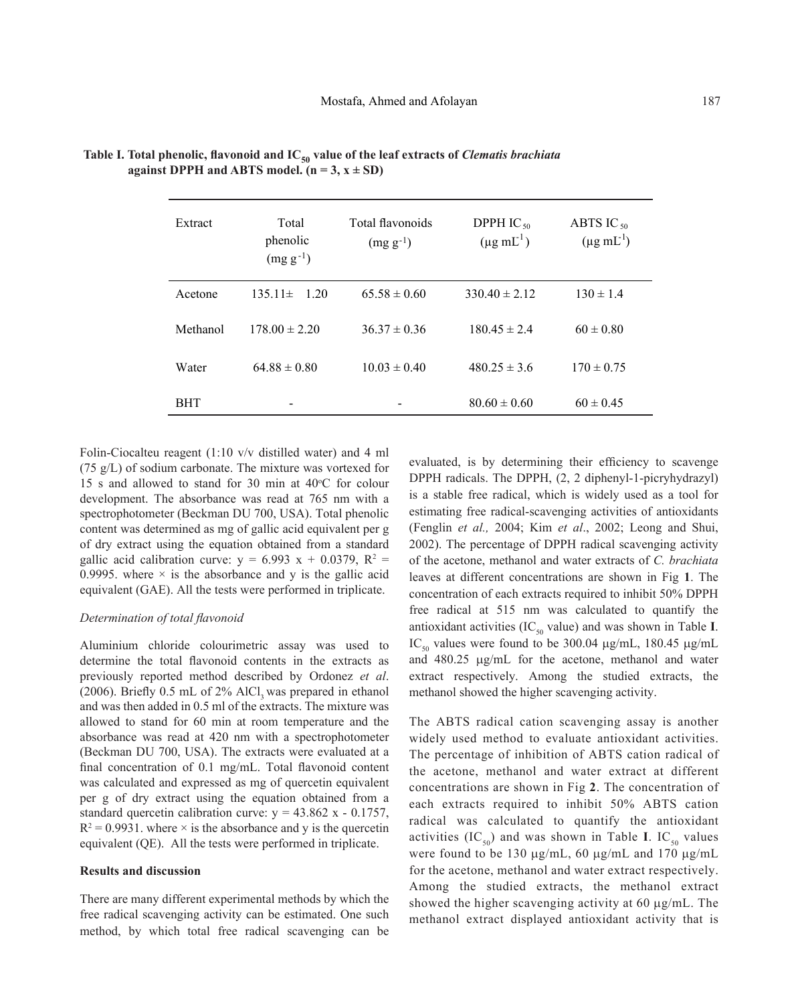| Extract    | Total<br>phenolic<br>$(mg g^{-1})$ | Total flavonoids<br>$(mg g^{-1})$ | DPPH IC <sub>50</sub><br>$(\mu g \text{ mL}^1)$ | ABTS IC $_{50}$<br>$(\mu g \, mL^1)$ |
|------------|------------------------------------|-----------------------------------|-------------------------------------------------|--------------------------------------|
| Acetone    | $135.11 \pm$<br>1.20               | $65.58 \pm 0.60$                  | $330.40 \pm 2.12$                               | $130 \pm 1.4$                        |
| Methanol   | $178.00 \pm 2.20$                  | $36.37 \pm 0.36$                  | $18045 \pm 24$                                  | $60 \pm 0.80$                        |
| Water      | $64.88 \pm 0.80$                   | $10.03 \pm 0.40$                  | $480.25 \pm 3.6$                                | $170 \pm 0.75$                       |
| <b>BHT</b> | -                                  |                                   | $80.60 \pm 0.60$                                | $60 \pm 0.45$                        |

**Table I. Total phenolic, flavonoid and IC50 value of the leaf extracts of** *Clematis brachiata* **against DPPH and ABTS model.**  $(n = 3, x \pm SD)$ 

Folin-Ciocalteu reagent (1:10 v/v distilled water) and 4 ml (75 g/L) of sodium carbonate. The mixture was vortexed for 15 s and allowed to stand for 30 min at  $40^{\circ}$ C for colour development. The absorbance was read at 765 nm with a spectrophotometer (Beckman DU 700, USA). Total phenolic content was determined as mg of gallic acid equivalent per g of dry extract using the equation obtained from a standard gallic acid calibration curve:  $y = 6.993 x + 0.0379$ ,  $R^2 =$ 0.9995. where  $\times$  is the absorbance and y is the gallic acid equivalent (GAE). All the tests were performed in triplicate.

#### *Determination of total flavonoid*

Aluminium chloride colourimetric assay was used to determine the total flavonoid contents in the extracts as previously reported method described by Ordonez *et al*. (2006). Briefly  $0.5$  mL of  $2\%$  AlCl, was prepared in ethanol and was then added in 0.5 ml of the extracts. The mixture was allowed to stand for 60 min at room temperature and the absorbance was read at 420 nm with a spectrophotometer (Beckman DU 700, USA). The extracts were evaluated at a final concentration of 0.1 mg/mL. Total flavonoid content was calculated and expressed as mg of quercetin equivalent per g of dry extract using the equation obtained from a standard quercetin calibration curve:  $y = 43.862 \text{ x} - 0.1757$ ,  $R^2 = 0.9931$ . where  $\times$  is the absorbance and y is the quercetin equivalent (QE). All the tests were performed in triplicate.

### **Results and discussion**

There are many different experimental methods by which the free radical scavenging activity can be estimated. One such method, by which total free radical scavenging can be

evaluated, is by determining their efficiency to scavenge DPPH radicals. The DPPH, (2, 2 diphenyl-1-picryhydrazyl) is a stable free radical, which is widely used as a tool for estimating free radical-scavenging activities of antioxidants (Fenglin *et al.,* 2004; Kim *et al*., 2002; Leong and Shui, 2002). The percentage of DPPH radical scavenging activity of the acetone, methanol and water extracts of *C. brachiata* leaves at different concentrations are shown in Fig **1**. The concentration of each extracts required to inhibit 50% DPPH free radical at 515 nm was calculated to quantify the antioxidant activities (IC<sub>50</sub> value) and was shown in Table **I**. IC<sub>50</sub> values were found to be 300.04  $\mu$ g/mL, 180.45  $\mu$ g/mL and 480.25 µg/mL for the acetone, methanol and water extract respectively. Among the studied extracts, the methanol showed the higher scavenging activity.

The ABTS radical cation scavenging assay is another widely used method to evaluate antioxidant activities. The percentage of inhibition of ABTS cation radical of the acetone, methanol and water extract at different concentrations are shown in Fig **2**. The concentration of each extracts required to inhibit 50% ABTS cation radical was calculated to quantify the antioxidant activities  $(IC_{50})$  and was shown in Table **I**. IC<sub>50</sub> values were found to be 130 µg/mL, 60 µg/mL and 170 µg/mL for the acetone, methanol and water extract respectively. Among the studied extracts, the methanol extract showed the higher scavenging activity at 60 µg/mL. The methanol extract displayed antioxidant activity that is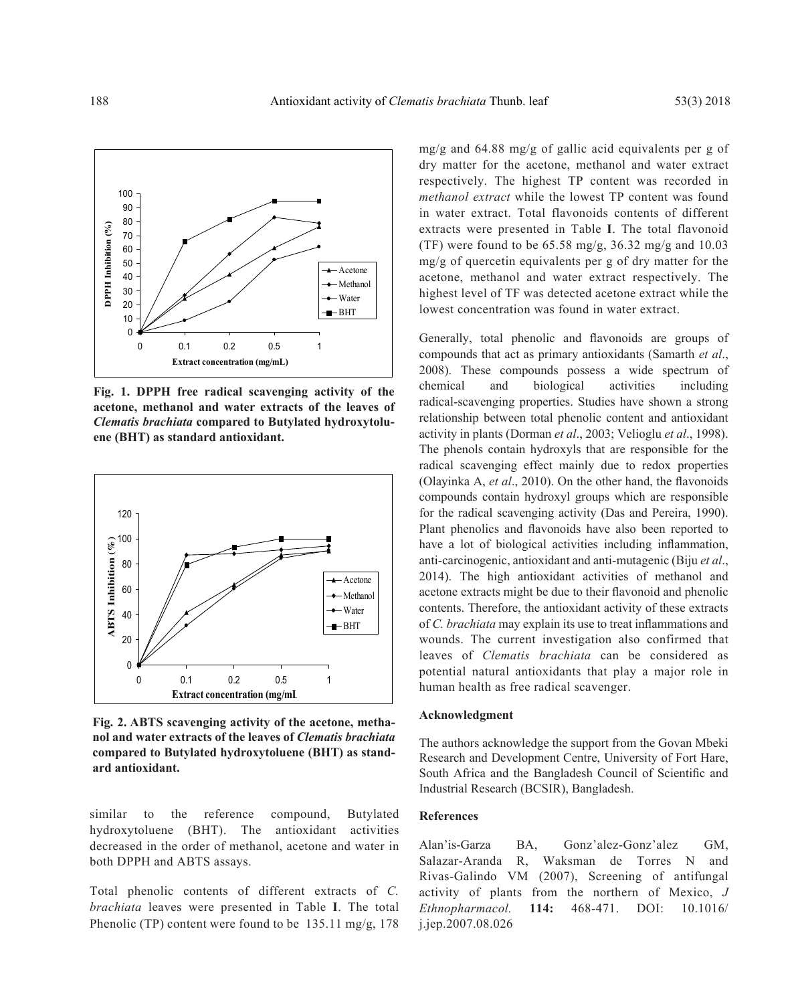**Fig. 1. DPPH free radical scavenging activity of the acetone, methanol and water extracts of the leaves of**  *Clematis brachiata* **compared to Butylated hydroxytoluene (BHT) as standard antioxidant.**

0 0.1 0.2 0.5 1 **Extract concentration (mg/mL)**



**Fig. 2. ABTS scavenging activity of the acetone, methanol and water extracts of the leaves of** *Clematis brachiata* **compared to Butylated hydroxytoluene (BHT) as standard antioxidant.**

similar to the reference compound, Butylated hydroxytoluene (BHT). The antioxidant activities decreased in the order of methanol, acetone and water in both DPPH and ABTS assays.

Total phenolic contents of different extracts of *C. brachiata* leaves were presented in Table **I**. The total Phenolic (TP) content were found to be 135.11 mg/g, 178 mg/g and 64.88 mg/g of gallic acid equivalents per g of dry matter for the acetone, methanol and water extract respectively. The highest TP content was recorded in *methanol extract* while the lowest TP content was found in water extract. Total flavonoids contents of different extracts were presented in Table **I**. The total flavonoid (TF) were found to be  $65.58 \text{ mg/g}, 36.32 \text{ mg/g}$  and  $10.03$ mg/g of quercetin equivalents per g of dry matter for the acetone, methanol and water extract respectively. The highest level of TF was detected acetone extract while the lowest concentration was found in water extract.

Generally, total phenolic and flavonoids are groups of compounds that act as primary antioxidants (Samarth *et al*., 2008). These compounds possess a wide spectrum of chemical and biological activities including radical-scavenging properties. Studies have shown a strong relationship between total phenolic content and antioxidant activity in plants (Dorman *et al*., 2003; Velioglu *et al*., 1998). The phenols contain hydroxyls that are responsible for the radical scavenging effect mainly due to redox properties (Olayinka A, *et al*., 2010). On the other hand, the flavonoids compounds contain hydroxyl groups which are responsible for the radical scavenging activity (Das and Pereira, 1990). Plant phenolics and flavonoids have also been reported to have a lot of biological activities including inflammation, anti-carcinogenic, antioxidant and anti-mutagenic (Biju *et al*., 2014). The high antioxidant activities of methanol and acetone extracts might be due to their flavonoid and phenolic contents. Therefore, the antioxidant activity of these extracts of *C. brachiata* may explain its use to treat inflammations and wounds. The current investigation also confirmed that leaves of *Clematis brachiata* can be considered as potential natural antioxidants that play a major role in human health as free radical scavenger.

# **Acknowledgment**

The authors acknowledge the support from the Govan Mbeki Research and Development Centre, University of Fort Hare, South Africa and the Bangladesh Council of Scientific and Industrial Research (BCSIR), Bangladesh.

# **References**

Alan'is-Garza BA, Gonz'alez-Gonz'alez GM, Salazar-Aranda R, Waksman de Torres N and Rivas-Galindo VM (2007), Screening of antifungal activity of plants from the northern of Mexico, *J Ethnopharmacol.* **114:** 468-471. DOI: 10.1016/ j.jep.2007.08.026

 $\triangle$  Acetone  $\leftarrow$  Methanol Water  $-BHT$ 

**DPPH Inhibition (%)**

DPPH Inhibition (%)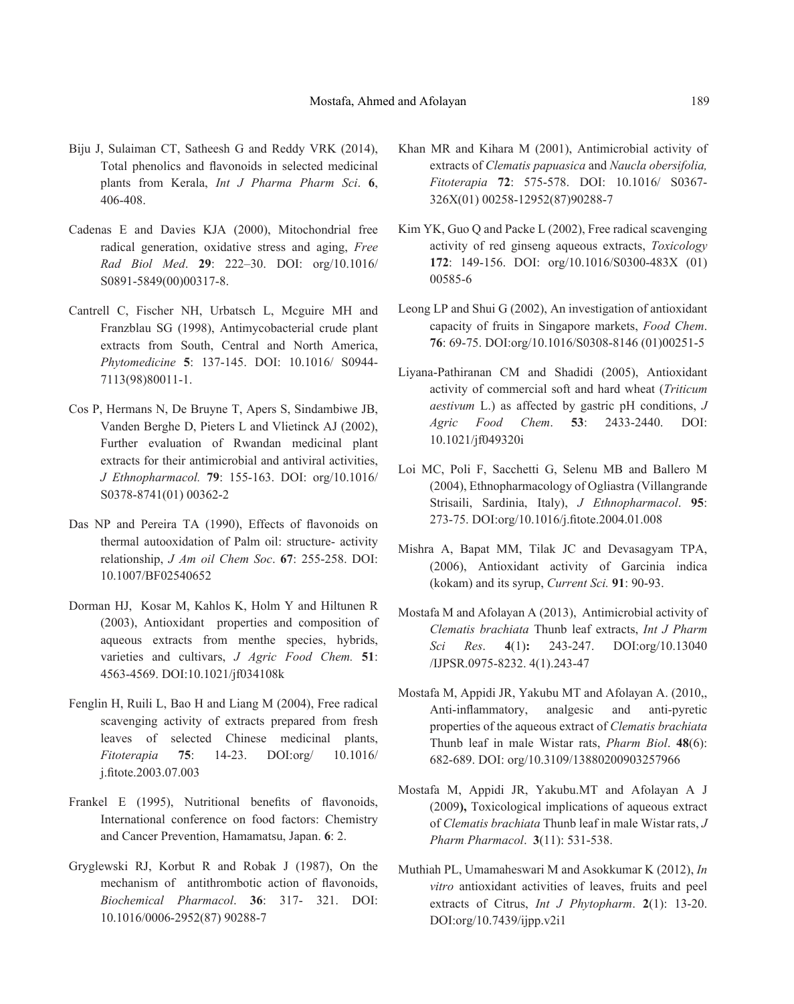- Biju J, Sulaiman CT, Satheesh G and Reddy VRK (2014), Total phenolics and flavonoids in selected medicinal plants from Kerala, *Int J Pharma Pharm Sci*. **6**, 406-408.
- Cadenas E and Davies KJA (2000), Mitochondrial free radical generation, oxidative stress and aging, *Free Rad Biol Med*. **29**: 222–30. DOI: org/10.1016/ S0891-5849(00)00317-8.
- Cantrell C, Fischer NH, Urbatsch L, Mcguire MH and Franzblau SG (1998), Antimycobacterial crude plant extracts from South, Central and North America, *Phytomedicine* **5**: 137-145. DOI: 10.1016/ S0944- 7113(98)80011-1.
- Cos P, Hermans N, De Bruyne T, Apers S, Sindambiwe JB, Vanden Berghe D, Pieters L and Vlietinck AJ (2002), Further evaluation of Rwandan medicinal plant extracts for their antimicrobial and antiviral activities, *J Ethnopharmacol.* **79**: 155-163. DOI: org/10.1016/ S0378-8741(01) 00362-2
- Das NP and Pereira TA (1990), Effects of flavonoids on thermal autooxidation of Palm oil: structure- activity relationship, *J Am oil Chem Soc*. **67**: 255-258. DOI: 10.1007/BF02540652
- Dorman HJ, Kosar M, Kahlos K, Holm Y and Hiltunen R (2003), Antioxidant properties and composition of aqueous extracts from menthe species, hybrids, varieties and cultivars, *J Agric Food Chem.* **51**: 4563-4569. DOI:10.1021/jf034108k
- Fenglin H, Ruili L, Bao H and Liang M (2004), Free radical scavenging activity of extracts prepared from fresh leaves of selected Chinese medicinal plants, *Fitoterapia* **75**: 14-23. DOI:org/ 10.1016/ j.fitote.2003.07.003
- Frankel E (1995), Nutritional benefits of flavonoids, International conference on food factors: Chemistry and Cancer Prevention, Hamamatsu, Japan. **6**: 2.
- Gryglewski RJ, Korbut R and Robak J (1987), On the mechanism of antithrombotic action of flavonoids, *Biochemical Pharmacol*. **36**: 317- 321. DOI: 10.1016/0006-2952(87) 90288-7
- Khan MR and Kihara M (2001), Antimicrobial activity of extracts of *Clematis papuasica* and *Naucla obersifolia, Fitoterapia* **72**: 575-578. DOI: 10.1016/ S0367- 326X(01) 00258-12952(87)90288-7
- Kim YK, Guo Q and Packe L (2002), Free radical scavenging activity of red ginseng aqueous extracts, *Toxicology* **172**: 149-156. DOI: org/10.1016/S0300-483X (01) 00585-6
- Leong LP and Shui G (2002), An investigation of antioxidant capacity of fruits in Singapore markets, *Food Chem*. **76**: 69-75. DOI:org/10.1016/S0308-8146 (01)00251-5
- Liyana-Pathiranan CM and Shadidi (2005), Antioxidant activity of commercial soft and hard wheat (*Triticum aestivum* L.) as affected by gastric pH conditions, *J Agric Food Chem*. **53**: 2433-2440. DOI: 10.1021/jf049320i
- Loi MC, Poli F, Sacchetti G, Selenu MB and Ballero M (2004), Ethnopharmacology of Ogliastra (Villangrande Strisaili, Sardinia, Italy), *J Ethnopharmacol*. **95**: 273-75. DOI:org/10.1016/j.fitote.2004.01.008
- Mishra A, Bapat MM, Tilak JC and Devasagyam TPA, (2006), Antioxidant activity of Garcinia indica (kokam) and its syrup, *Current Sci.* **91**: 90-93.
- Mostafa M and Afolayan A (2013), Antimicrobial activity of *Clematis brachiata* Thunb leaf extracts, *Int J Pharm Sci Res*. **4**(1)**:** 243-247. DOI:org/10.13040 /IJPSR.0975-8232. 4(1).243-47
- Mostafa M, Appidi JR, Yakubu MT and Afolayan A. (2010,, Anti-inflammatory, analgesic and anti-pyretic properties of the aqueous extract of *Clematis brachiata* Thunb leaf in male Wistar rats, *Pharm Biol*. **48**(6): 682-689. DOI: org/10.3109/13880200903257966
- Mostafa M, Appidi JR, Yakubu.MT and Afolayan A J (2009**),** Toxicological implications of aqueous extract of *Clematis brachiata* Thunb leaf in male Wistar rats, *J Pharm Pharmacol*. **3**(11): 531-538.
- Muthiah PL, Umamaheswari M and Asokkumar K (2012), *In vitro* antioxidant activities of leaves, fruits and peel extracts of Citrus, *Int J Phytopharm*. **2**(1): 13-20. DOI:org/10.7439/ijpp.v2i1